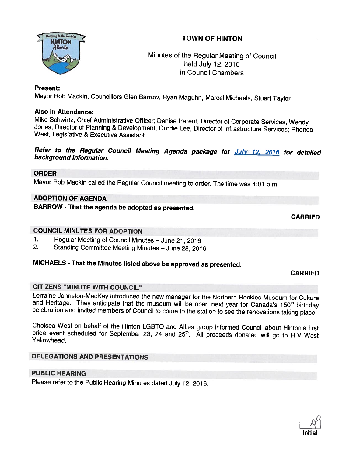



# Minutes of the Regular Meeting of Council held July 12, 2016 in Council Chambers

## Present:

Mayor Rob Mackin, Councillors Glen Barrow, Ryan Maguhn, Marcel Michaels, Stuart Taylor

## Also in Attendance:

Mike Schwirtz, Chief Administrative Officer; Denise Parent, Director of Corporate Services, Wendy<br>Jones, Director of Planning & Development, Gordie Lee, Director of Infrastructure Services; Rhonda<br>West, Legislative & Execu

Refer to the Regular Council Meeting Agenda package for July 12, 2016 for detailed<br>background information.

#### ORDER

Mayor Rob Mackin called the Regular Council meeting to order. The time was 4:01 p.m.

# ADOPTION OF AGENDA

BARROW - That the agenda be adopted as presented.

CARRIED

## COUNCIL MINUTES FOR ADOPTION

- 1. Regular Meeting of Council Minutes June 21, 2016<br>2. Standing Committee Meeting Minutes June 28, 201
- 2. Standing Committee Meeting Minutes June 28, <sup>2016</sup>

# MICHAELS - That the Minutes listed above be approved as presented.

#### CARRIED

#### CITIZENS "MINUTE WITH COUNCIL"

Lorraine Johnston-MacKay introduced the new manager for the Northern Rockies Museum for Culture<br>and Heritage. They anticipate that the museum will be open next year for Canada's 150<sup>th</sup> birthday<br>celebration and invited mem

Chelsea West on behalf of the Hinton LGBTQ and Allies group informed Council about Hinton's first pride event scheduled for September 23, 24 and 25<sup>th</sup>. All proceeds donated will go to HIV West Yellowhead.

# DELEGATIONS AND PRESENTATIONS

## PUBLIC HEARING

Please refer to the Public Hearing Minutes dated July 12, 2016.

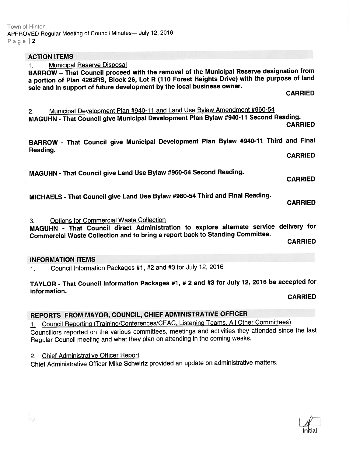| <b>ACTION ITEMS</b>                                                                                                                                                                                                                                                                                                              |
|----------------------------------------------------------------------------------------------------------------------------------------------------------------------------------------------------------------------------------------------------------------------------------------------------------------------------------|
| <b>Municipal Reserve Disposal</b><br>1.<br>BARROW - That Council proceed with the removal of the Municipal Reserve designation from<br>a portion of Plan 4262RS, Block 26, Lot R (110 Forest Heights Drive) with the purpose of land<br>sale and in support of future development by the local business owner.<br><b>CARRIED</b> |
| Municipal Development Plan #940-11 and Land Use Bylaw Amendment #960-54<br>2.<br>MAGUHN - That Council give Municipal Development Plan Bylaw #940-11 Second Reading.<br><b>CARRIED</b>                                                                                                                                           |
| BARROW - That Council give Municipal Development Plan Bylaw #940-11 Third and Final<br>Reading.                                                                                                                                                                                                                                  |
| <b>CARRIED</b>                                                                                                                                                                                                                                                                                                                   |
| MAGUHN - That Council give Land Use Bylaw #960-54 Second Reading.<br><b>CARRIED</b>                                                                                                                                                                                                                                              |
| MICHAELS - That Council give Land Use Bylaw #960-54 Third and Final Reading.<br><b>CARRIED</b>                                                                                                                                                                                                                                   |
| <b>Options for Commercial Waste Collection</b><br>3.<br>MAGUHN - That Council direct Administration to explore alternate service delivery for<br>Commercial Waste Collection and to bring a report back to Standing Committee.                                                                                                   |
| <b>CARRIED</b>                                                                                                                                                                                                                                                                                                                   |
| <b>INFORMATION ITEMS</b>                                                                                                                                                                                                                                                                                                         |
| Council Information Packages #1, #2 and #3 for July 12, 2016<br>1.                                                                                                                                                                                                                                                               |
| TAYLOR - That Council Information Packages #1, # 2 and #3 for July 12, 2016 be accepted for<br>information.                                                                                                                                                                                                                      |
| <b>CARRIED</b>                                                                                                                                                                                                                                                                                                                   |

# REPORTS FROM MAYOR, COUNCIL, CHIEF ADMINISTRATIVE OFFICER

1. Council Reporting (Training/Conferences/CEAC, Listening Teams, All Other Committees) Councillors reported on the various committees, meetings and activities they attended since the last Regular Council meeting and what they <sup>p</sup>lan on attending in the coming weeks.

# 2. Chief Administrative Officer Report

Chief Administrative Officer Mike Schwirtz provided an update on administrative matters.

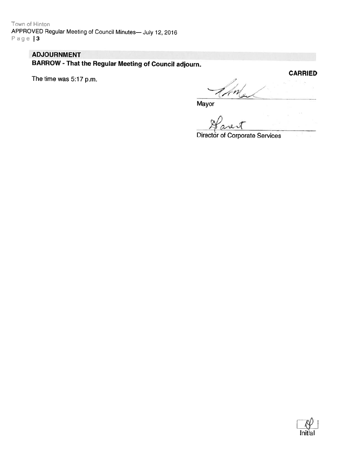Town of Hinton APPROVED Regular Meeting of Council Minutes- July 12, 2016 Page | 3

# **ADJOURNMENT**

**BARROW - That the Regular Meeting of Council adjourn.** 

The time was 5:17 p.m.

**CARRIED** An

Mayor

Director of Corporate Services